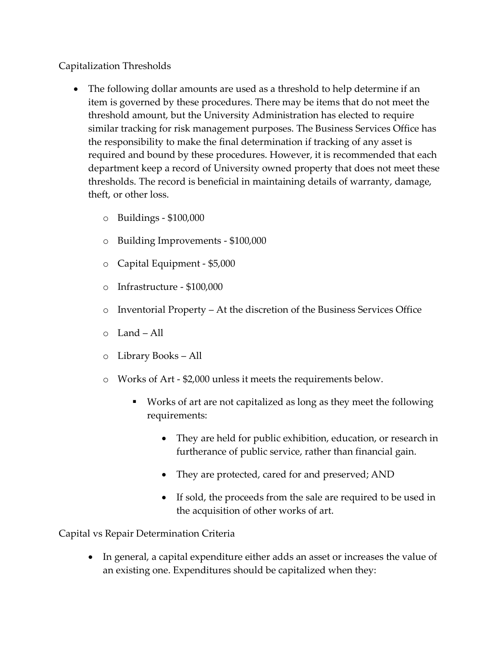Capitalization Thresholds

- The following dollar amounts are used as a threshold to help determine if an item is governed by these procedures. There may be items that do not meet the threshold amount, but the University Administration has elected to require similar tracking for risk management purposes. The Business Services Office has the responsibility to make the final determination if tracking of any asset is required and bound by these procedures. However, it is recommended that each department keep a record of University owned property that does not meet these thresholds. The record is beneficial in maintaining details of warranty, damage, theft, or other loss.
	- o Buildings \$100,000
	- o Building Improvements \$100,000
	- o Capital Equipment \$5,000
	- o Infrastructure \$100,000
	- o Inventorial Property At the discretion of the Business Services Office
	- o Land All
	- o Library Books All
	- o Works of Art \$2,000 unless it meets the requirements below.
		- Works of art are not capitalized as long as they meet the following requirements:
			- They are held for public exhibition, education, or research in furtherance of public service, rather than financial gain.
			- They are protected, cared for and preserved; AND
			- If sold, the proceeds from the sale are required to be used in the acquisition of other works of art.

Capital vs Repair Determination Criteria

• In general, a capital expenditure either adds an asset or increases the value of an existing one. Expenditures should be capitalized when they: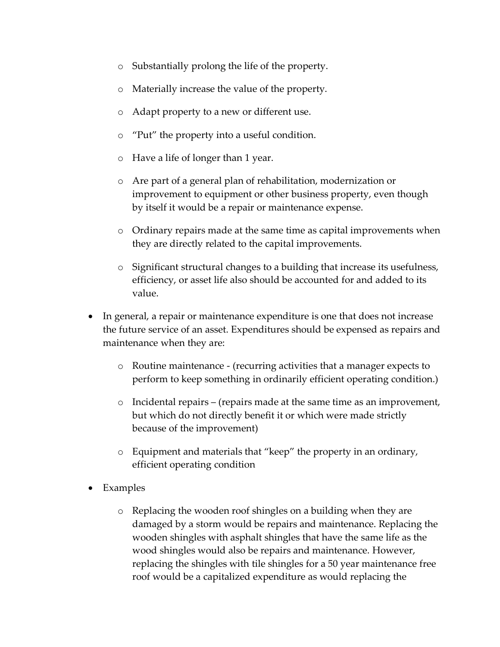- o Substantially prolong the life of the property.
- o Materially increase the value of the property.
- o Adapt property to a new or different use.
- o "Put" the property into a useful condition.
- o Have a life of longer than 1 year.
- o Are part of a general plan of rehabilitation, modernization or improvement to equipment or other business property, even though by itself it would be a repair or maintenance expense.
- o Ordinary repairs made at the same time as capital improvements when they are directly related to the capital improvements.
- o Significant structural changes to a building that increase its usefulness, efficiency, or asset life also should be accounted for and added to its value.
- In general, a repair or maintenance expenditure is one that does not increase the future service of an asset. Expenditures should be expensed as repairs and maintenance when they are:
	- o Routine maintenance (recurring activities that a manager expects to perform to keep something in ordinarily efficient operating condition.)
	- o Incidental repairs (repairs made at the same time as an improvement, but which do not directly benefit it or which were made strictly because of the improvement)
	- o Equipment and materials that "keep" the property in an ordinary, efficient operating condition
- **Examples** 
	- o Replacing the wooden roof shingles on a building when they are damaged by a storm would be repairs and maintenance. Replacing the wooden shingles with asphalt shingles that have the same life as the wood shingles would also be repairs and maintenance. However, replacing the shingles with tile shingles for a 50 year maintenance free roof would be a capitalized expenditure as would replacing the